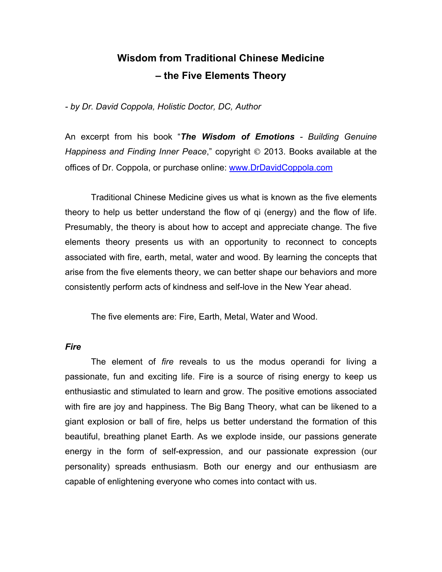# **Wisdom from Traditional Chinese Medicine – the Five Elements Theory**

*- by Dr. David Coppola, Holistic Doctor, DC, Author*

An excerpt from his book "*The Wisdom of Emotions - Building Genuine Happiness and Finding Inner Peace,*" copyright  $\odot$  2013. Books available at the offices of Dr. Coppola, or purchase online: www.DrDavidCoppola.com

Traditional Chinese Medicine gives us what is known as the five elements theory to help us better understand the flow of qi (energy) and the flow of life. Presumably, the theory is about how to accept and appreciate change. The five elements theory presents us with an opportunity to reconnect to concepts associated with fire, earth, metal, water and wood. By learning the concepts that arise from the five elements theory, we can better shape our behaviors and more consistently perform acts of kindness and self-love in the New Year ahead.

The five elements are: Fire, Earth, Metal, Water and Wood.

## *Fire*

The element of *fire* reveals to us the modus operandi for living a passionate, fun and exciting life. Fire is a source of rising energy to keep us enthusiastic and stimulated to learn and grow. The positive emotions associated with fire are joy and happiness. The Big Bang Theory, what can be likened to a giant explosion or ball of fire, helps us better understand the formation of this beautiful, breathing planet Earth. As we explode inside, our passions generate energy in the form of self-expression, and our passionate expression (our personality) spreads enthusiasm. Both our energy and our enthusiasm are capable of enlightening everyone who comes into contact with us.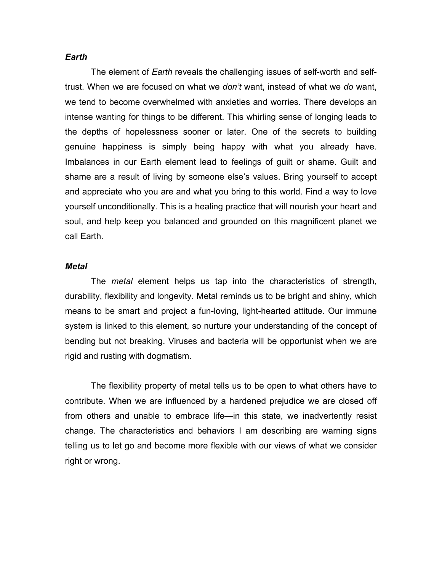#### *Earth*

The element of *Earth* reveals the challenging issues of self-worth and selftrust. When we are focused on what we *don't* want, instead of what we *do* want, we tend to become overwhelmed with anxieties and worries. There develops an intense wanting for things to be different. This whirling sense of longing leads to the depths of hopelessness sooner or later. One of the secrets to building genuine happiness is simply being happy with what you already have. Imbalances in our Earth element lead to feelings of guilt or shame. Guilt and shame are a result of living by someone else's values. Bring yourself to accept and appreciate who you are and what you bring to this world. Find a way to love yourself unconditionally. This is a healing practice that will nourish your heart and soul, and help keep you balanced and grounded on this magnificent planet we call Earth.

#### *Metal*

The *metal* element helps us tap into the characteristics of strength, durability, flexibility and longevity. Metal reminds us to be bright and shiny, which means to be smart and project a fun-loving, light-hearted attitude. Our immune system is linked to this element, so nurture your understanding of the concept of bending but not breaking. Viruses and bacteria will be opportunist when we are rigid and rusting with dogmatism.

The flexibility property of metal tells us to be open to what others have to contribute. When we are influenced by a hardened prejudice we are closed off from others and unable to embrace life—in this state, we inadvertently resist change. The characteristics and behaviors I am describing are warning signs telling us to let go and become more flexible with our views of what we consider right or wrong.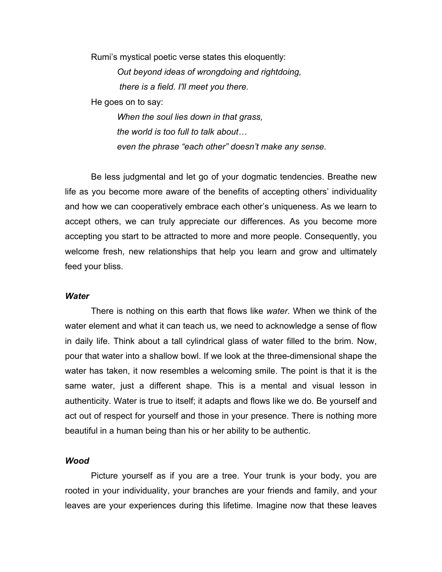Rumi's mystical poetic verse states this eloquently:

*Out beyond ideas of wrongdoing and rightdoing, there is a field. I'll meet you there.* 

He goes on to say:

*When the soul lies down in that grass, the world is too full to talk about… even the phrase "each other" doesn't make any sense.*

Be less judgmental and let go of your dogmatic tendencies. Breathe new life as you become more aware of the benefits of accepting others' individuality and how we can cooperatively embrace each other's uniqueness. As we learn to accept others, we can truly appreciate our differences. As you become more accepting you start to be attracted to more and more people. Consequently, you welcome fresh, new relationships that help you learn and grow and ultimately feed your bliss.

## *Water*

There is nothing on this earth that flows like *water*. When we think of the water element and what it can teach us, we need to acknowledge a sense of flow in daily life. Think about a tall cylindrical glass of water filled to the brim. Now, pour that water into a shallow bowl. If we look at the three-dimensional shape the water has taken, it now resembles a welcoming smile. The point is that it is the same water, just a different shape. This is a mental and visual lesson in authenticity. Water is true to itself; it adapts and flows like we do. Be yourself and act out of respect for yourself and those in your presence. There is nothing more beautiful in a human being than his or her ability to be authentic.

## *Wood*

Picture yourself as if you are a tree. Your trunk is your body, you are rooted in your individuality, your branches are your friends and family, and your leaves are your experiences during this lifetime. Imagine now that these leaves